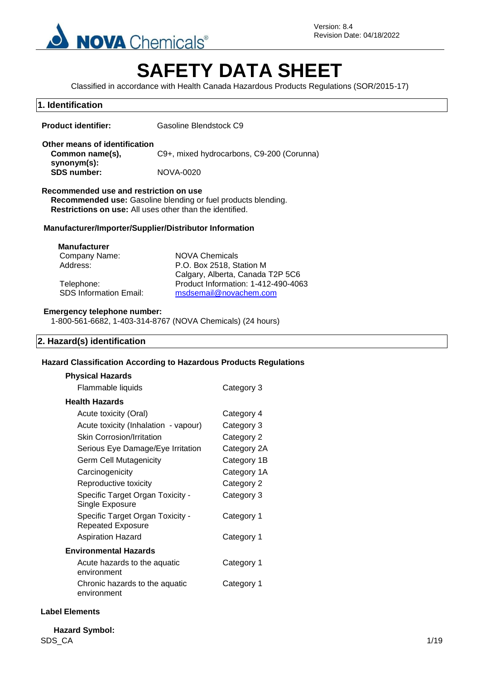

Version: 8.4 Revision Date: 04/18/2022

# **SAFETY DATA SHEET**

Classified in accordance with Health Canada Hazardous Products Regulations (SOR/2015-17)

# **1. Identification Product identifier:** Gasoline Blendstock C9 **Other means of identification Common name(s), synonym(s):** C9+, mixed hydrocarbons, C9-200 (Corunna) **SDS number:** NOVA-0020 **Recommended use and restriction on use Recommended use:** Gasoline blending or fuel products blending. **Restrictions on use:** All uses other than the identified. **Manufacturer/Importer/Supplier/Distributor Information Manufacturer** Company Name: NOVA Chemicals Address: P.O. Box 2518, Station M Calgary, Alberta, Canada T2P 5C6 Telephone: Product Information: 1-412-490-4063 SDS Information Email: [msdsemail@novachem.com](mailto:msdsemail@novachem.com) **Emergency telephone number:** 1-800-561-6682, 1-403-314-8767 (NOVA Chemicals) (24 hours)

#### **2. Hazard(s) identification**

#### **Hazard Classification According to Hazardous Products Regulations**

| <b>Physical Hazards</b>                               |             |
|-------------------------------------------------------|-------------|
| Flammable liquids                                     | Category 3  |
| Health Hazards                                        |             |
| Acute toxicity (Oral)                                 | Category 4  |
| Acute toxicity (Inhalation - vapour)                  | Category 3  |
| <b>Skin Corrosion/Irritation</b>                      | Category 2  |
| Serious Eye Damage/Eye Irritation                     | Category 2A |
| Germ Cell Mutagenicity                                | Category 1B |
| Carcinogenicity                                       | Category 1A |
| Reproductive toxicity                                 | Category 2  |
| Specific Target Organ Toxicity -<br>Single Exposure   | Category 3  |
| Specific Target Organ Toxicity -<br>Repeated Exposure | Category 1  |
| <b>Aspiration Hazard</b>                              | Category 1  |
| Environmental Hazards                                 |             |
| Acute hazards to the aquatic<br>environment           | Category 1  |
| Chronic hazards to the aquatic<br>environment         | Category 1  |

#### **Label Elements**

 $\mathsf{SDS\_CA}$  and  $\mathsf{1/19}$ **Hazard Symbol:**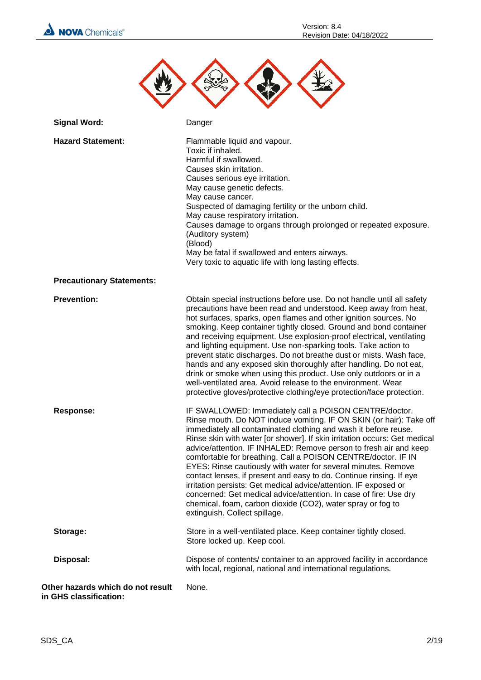



| <b>Signal Word:</b>                                         | Danger                                                                                                                                                                                                                                                                                                                                                                                                                                                                                                                                                                                                                                                                                                                                                                                               |
|-------------------------------------------------------------|------------------------------------------------------------------------------------------------------------------------------------------------------------------------------------------------------------------------------------------------------------------------------------------------------------------------------------------------------------------------------------------------------------------------------------------------------------------------------------------------------------------------------------------------------------------------------------------------------------------------------------------------------------------------------------------------------------------------------------------------------------------------------------------------------|
| <b>Hazard Statement:</b>                                    | Flammable liquid and vapour.<br>Toxic if inhaled.<br>Harmful if swallowed.<br>Causes skin irritation.<br>Causes serious eye irritation.<br>May cause genetic defects.<br>May cause cancer.<br>Suspected of damaging fertility or the unborn child.<br>May cause respiratory irritation.<br>Causes damage to organs through prolonged or repeated exposure.<br>(Auditory system)<br>(Blood)<br>May be fatal if swallowed and enters airways.<br>Very toxic to aquatic life with long lasting effects.                                                                                                                                                                                                                                                                                                 |
| <b>Precautionary Statements:</b>                            |                                                                                                                                                                                                                                                                                                                                                                                                                                                                                                                                                                                                                                                                                                                                                                                                      |
| <b>Prevention:</b>                                          | Obtain special instructions before use. Do not handle until all safety<br>precautions have been read and understood. Keep away from heat,<br>hot surfaces, sparks, open flames and other ignition sources. No<br>smoking. Keep container tightly closed. Ground and bond container<br>and receiving equipment. Use explosion-proof electrical, ventilating<br>and lighting equipment. Use non-sparking tools. Take action to<br>prevent static discharges. Do not breathe dust or mists. Wash face,<br>hands and any exposed skin thoroughly after handling. Do not eat,<br>drink or smoke when using this product. Use only outdoors or in a<br>well-ventilated area. Avoid release to the environment. Wear<br>protective gloves/protective clothing/eye protection/face protection.               |
| <b>Response:</b>                                            | IF SWALLOWED: Immediately call a POISON CENTRE/doctor.<br>Rinse mouth. Do NOT induce vomiting. IF ON SKIN (or hair): Take off<br>immediately all contaminated clothing and wash it before reuse.<br>Rinse skin with water [or shower]. If skin irritation occurs: Get medical<br>advice/attention. IF INHALED: Remove person to fresh air and keep<br>comfortable for breathing. Call a POISON CENTRE/doctor. IF IN<br>EYES: Rinse cautiously with water for several minutes. Remove<br>contact lenses, if present and easy to do. Continue rinsing. If eye<br>irritation persists: Get medical advice/attention. IF exposed or<br>concerned: Get medical advice/attention. In case of fire: Use dry<br>chemical, foam, carbon dioxide (CO2), water spray or fog to<br>extinguish. Collect spillage. |
| Storage:                                                    | Store in a well-ventilated place. Keep container tightly closed.<br>Store locked up. Keep cool.                                                                                                                                                                                                                                                                                                                                                                                                                                                                                                                                                                                                                                                                                                      |
| Disposal:                                                   | Dispose of contents/ container to an approved facility in accordance<br>with local, regional, national and international regulations.                                                                                                                                                                                                                                                                                                                                                                                                                                                                                                                                                                                                                                                                |
| Other hazards which do not result<br>in GHS classification: | None.                                                                                                                                                                                                                                                                                                                                                                                                                                                                                                                                                                                                                                                                                                                                                                                                |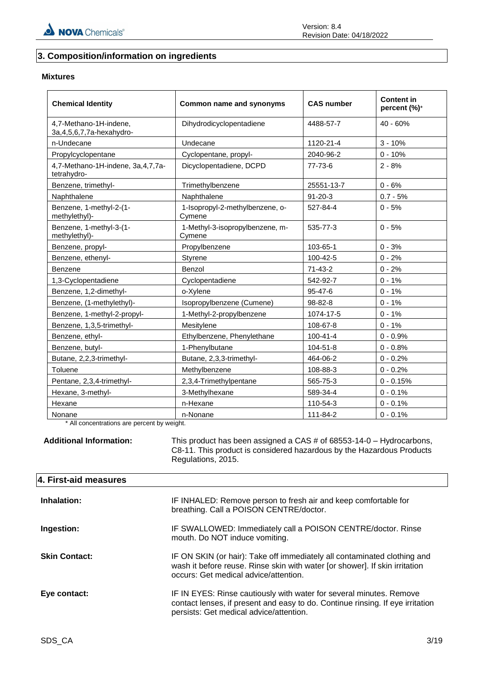# **3. Composition/information on ingredients**

#### **Mixtures**

| <b>Chemical Identity</b>                                | Common name and synonyms                  | <b>CAS number</b> | <b>Content in</b><br>percent (%)* |
|---------------------------------------------------------|-------------------------------------------|-------------------|-----------------------------------|
| 4,7-Methano-1H-indene,<br>3a, 4, 5, 6, 7, 7a-hexahydro- | Dihydrodicyclopentadiene                  | 4488-57-7         | $40 - 60%$                        |
| n-Undecane                                              | Undecane                                  | 1120-21-4         | $3 - 10%$                         |
| Propylcyclopentane                                      | Cyclopentane, propyl-                     | 2040-96-2         | $0 - 10%$                         |
| 4,7-Methano-1H-indene, 3a, 4, 7, 7a-<br>tetrahydro-     | Dicyclopentadiene, DCPD                   | 77-73-6           | $2 - 8%$                          |
| Benzene, trimethyl-                                     | Trimethylbenzene                          | 25551-13-7        | $0 - 6%$                          |
| Naphthalene                                             | Naphthalene                               | $91 - 20 - 3$     | $0.7 - 5%$                        |
| Benzene, 1-methyl-2-(1-<br>methylethyl)-                | 1-Isopropyl-2-methylbenzene, o-<br>Cymene | 527-84-4          | $0 - 5%$                          |
| Benzene, 1-methyl-3-(1-<br>methylethyl)-                | 1-Methyl-3-isopropylbenzene, m-<br>Cymene | 535-77-3          | $0 - 5%$                          |
| Benzene, propyl-                                        | Propylbenzene                             | 103-65-1          | $0 - 3%$                          |
| Benzene, ethenyl-                                       | Styrene                                   | 100-42-5          | $0 - 2%$                          |
| Benzene                                                 | Benzol                                    | $71-43-2$         | $0 - 2%$                          |
| 1,3-Cyclopentadiene                                     | Cyclopentadiene                           | 542-92-7          | $0 - 1%$                          |
| Benzene, 1,2-dimethyl-                                  | o-Xylene                                  | $95 - 47 - 6$     | $0 - 1%$                          |
| Benzene, (1-methylethyl)-                               | Isopropylbenzene (Cumene)                 | 98-82-8           | $0 - 1%$                          |
| Benzene, 1-methyl-2-propyl-                             | 1-Methyl-2-propylbenzene                  | 1074-17-5         | $0 - 1%$                          |
| Benzene, 1,3,5-trimethyl-                               | Mesitylene                                | 108-67-8          | $0 - 1%$                          |
| Benzene, ethyl-                                         | Ethylbenzene, Phenylethane                | $100 - 41 - 4$    | $0 - 0.9%$                        |
| Benzene, butyl-                                         | 1-Phenylbutane                            | 104-51-8          | $0 - 0.8%$                        |
| Butane, 2,2,3-trimethyl-                                | Butane, 2,3,3-trimethyl-                  | 464-06-2          | $0 - 0.2%$                        |
| Toluene                                                 | Methylbenzene                             | 108-88-3          | $0 - 0.2%$                        |
| Pentane, 2,3,4-trimethyl-                               | 2,3,4-Trimethylpentane                    | 565-75-3          | $0 - 0.15%$                       |
| Hexane, 3-methyl-                                       | 3-Methylhexane                            | 589-34-4          | $0 - 0.1%$                        |
| Hexane                                                  | n-Hexane                                  | 110-54-3          | $0 - 0.1%$                        |
| Nonane                                                  | n-Nonane                                  | 111-84-2          | $0 - 0.1%$                        |

\* All concentrations are percent by weight.

**Additional Information:** This product has been assigned a CAS # of 68553-14-0 – Hydrocarbons, C8-11. This product is considered hazardous by the Hazardous Products Regulations, 2015.

#### **4. First-aid measures**

| Inhalation:          | IF INHALED: Remove person to fresh air and keep comfortable for<br>breathing. Call a POISON CENTRE/doctor.                                                                                       |
|----------------------|--------------------------------------------------------------------------------------------------------------------------------------------------------------------------------------------------|
| Ingestion:           | IF SWALLOWED: Immediately call a POISON CENTRE/doctor. Rinse<br>mouth. Do NOT induce vomiting.                                                                                                   |
| <b>Skin Contact:</b> | IF ON SKIN (or hair): Take off immediately all contaminated clothing and<br>wash it before reuse. Rinse skin with water [or shower]. If skin irritation<br>occurs: Get medical advice/attention. |
| Eye contact:         | IF IN EYES: Rinse cautiously with water for several minutes. Remove<br>contact lenses, if present and easy to do. Continue rinsing. If eye irritation<br>persists: Get medical advice/attention. |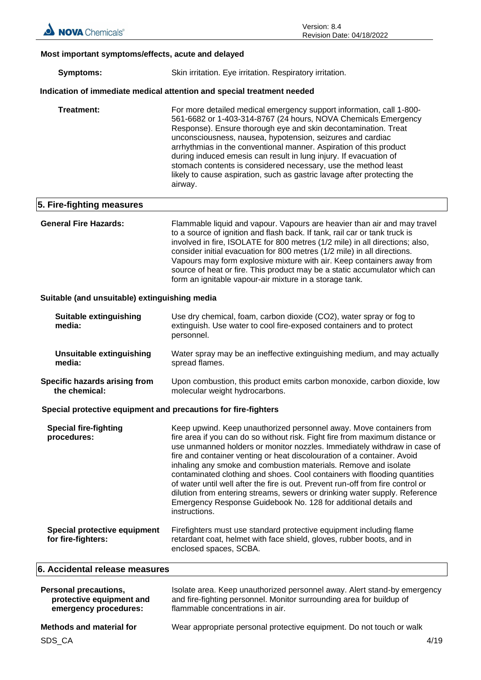#### **Most important symptoms/effects, acute and delayed**

#### **Indication of immediate medical attention and special treatment needed**

| Treatment:<br>airway. | For more detailed medical emergency support information, call 1-800-<br>561-6682 or 1-403-314-8767 (24 hours, NOVA Chemicals Emergency<br>Response). Ensure thorough eye and skin decontamination. Treat<br>unconsciousness, nausea, hypotension, seizures and cardiac<br>arrhythmias in the conventional manner. Aspiration of this product<br>during induced emesis can result in lung injury. If evacuation of<br>stomach contents is considered necessary, use the method least<br>likely to cause aspiration, such as gastric lavage after protecting the |
|-----------------------|----------------------------------------------------------------------------------------------------------------------------------------------------------------------------------------------------------------------------------------------------------------------------------------------------------------------------------------------------------------------------------------------------------------------------------------------------------------------------------------------------------------------------------------------------------------|
|-----------------------|----------------------------------------------------------------------------------------------------------------------------------------------------------------------------------------------------------------------------------------------------------------------------------------------------------------------------------------------------------------------------------------------------------------------------------------------------------------------------------------------------------------------------------------------------------------|

#### **5. Fire-fighting measures**

**General Fire Hazards:** Flammable liquid and vapour. Vapours are heavier than air and may travel to a source of ignition and flash back. If tank, rail car or tank truck is involved in fire, ISOLATE for 800 metres (1/2 mile) in all directions; also, consider initial evacuation for 800 metres (1/2 mile) in all directions. Vapours may form explosive mixture with air. Keep containers away from source of heat or fire. This product may be a static accumulator which can form an ignitable vapour-air mixture in a storage tank.

#### **Suitable (and unsuitable) extinguishing media**

| Suitable extinguishing<br>media: | Use dry chemical, foam, carbon dioxide (CO2), water spray or fog to<br>extinguish. Use water to cool fire-exposed containers and to protect<br>personnel. |
|----------------------------------|-----------------------------------------------------------------------------------------------------------------------------------------------------------|
| Unsuitable extinguishing         | Water spray may be an ineffective extinguishing medium, and may actually                                                                                  |
| media:                           | spread flames.                                                                                                                                            |
| Specific hazards arising from    | Upon combustion, this product emits carbon monoxide, carbon dioxide, low                                                                                  |
| the chemical:                    | molecular weight hydrocarbons.                                                                                                                            |

#### **Special protective equipment and precautions for fire-fighters**

| <b>Special fire-fighting</b><br>procedures:        | Keep upwind. Keep unauthorized personnel away. Move containers from<br>fire area if you can do so without risk. Fight fire from maximum distance or<br>use unmanned holders or monitor nozzles. Immediately withdraw in case of<br>fire and container venting or heat discolouration of a container. Avoid<br>inhaling any smoke and combustion materials. Remove and isolate<br>contaminated clothing and shoes. Cool containers with flooding quantities<br>of water until well after the fire is out. Prevent run-off from fire control or<br>dilution from entering streams, sewers or drinking water supply. Reference<br>Emergency Response Guidebook No. 128 for additional details and<br>instructions. |
|----------------------------------------------------|-----------------------------------------------------------------------------------------------------------------------------------------------------------------------------------------------------------------------------------------------------------------------------------------------------------------------------------------------------------------------------------------------------------------------------------------------------------------------------------------------------------------------------------------------------------------------------------------------------------------------------------------------------------------------------------------------------------------|
| Special protective equipment<br>for fire-fighters: | Firefighters must use standard protective equipment including flame<br>retardant coat, helmet with face shield, gloves, rubber boots, and in<br>enclosed spaces, SCBA.                                                                                                                                                                                                                                                                                                                                                                                                                                                                                                                                          |

#### **6. Accidental release measures**

| <b>Personal precautions,</b>    | Isolate area. Keep unauthorized personnel away. Alert stand-by emergency |
|---------------------------------|--------------------------------------------------------------------------|
| protective equipment and        | and fire-fighting personnel. Monitor surrounding area for buildup of     |
| emergency procedures:           | flammable concentrations in air.                                         |
| <b>Methods and material for</b> | Wear appropriate personal protective equipment. Do not touch or walk     |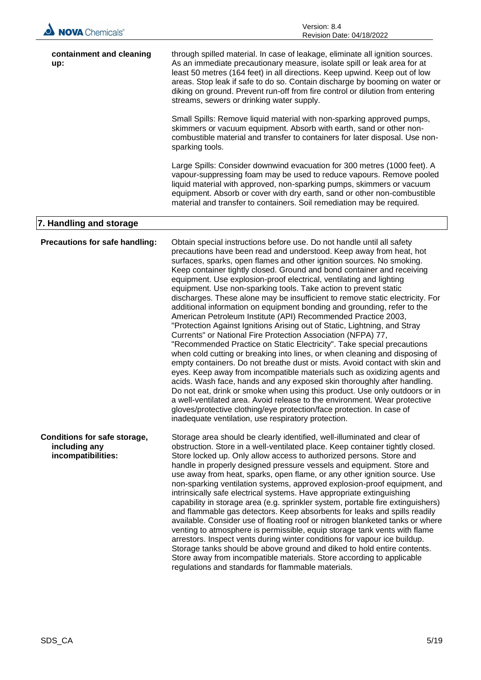| <b>NOVA</b> Chemicals                                                      | Revision Date: 04/18/2022                                                                                                                                                                                                                                                                                                                                                                                                                                                                                                                                                                                                                                                                                                                                                                                                                                                                                                                                                                                                                                                                                                                                                                                                                                                                                                                                                                                                                                                                                        |
|----------------------------------------------------------------------------|------------------------------------------------------------------------------------------------------------------------------------------------------------------------------------------------------------------------------------------------------------------------------------------------------------------------------------------------------------------------------------------------------------------------------------------------------------------------------------------------------------------------------------------------------------------------------------------------------------------------------------------------------------------------------------------------------------------------------------------------------------------------------------------------------------------------------------------------------------------------------------------------------------------------------------------------------------------------------------------------------------------------------------------------------------------------------------------------------------------------------------------------------------------------------------------------------------------------------------------------------------------------------------------------------------------------------------------------------------------------------------------------------------------------------------------------------------------------------------------------------------------|
| containment and cleaning<br>up:                                            | through spilled material. In case of leakage, eliminate all ignition sources.<br>As an immediate precautionary measure, isolate spill or leak area for at<br>least 50 metres (164 feet) in all directions. Keep upwind. Keep out of low<br>areas. Stop leak if safe to do so. Contain discharge by booming on water or<br>diking on ground. Prevent run-off from fire control or dilution from entering<br>streams, sewers or drinking water supply.                                                                                                                                                                                                                                                                                                                                                                                                                                                                                                                                                                                                                                                                                                                                                                                                                                                                                                                                                                                                                                                             |
|                                                                            | Small Spills: Remove liquid material with non-sparking approved pumps,<br>skimmers or vacuum equipment. Absorb with earth, sand or other non-<br>combustible material and transfer to containers for later disposal. Use non-<br>sparking tools.                                                                                                                                                                                                                                                                                                                                                                                                                                                                                                                                                                                                                                                                                                                                                                                                                                                                                                                                                                                                                                                                                                                                                                                                                                                                 |
|                                                                            | Large Spills: Consider downwind evacuation for 300 metres (1000 feet). A<br>vapour-suppressing foam may be used to reduce vapours. Remove pooled<br>liquid material with approved, non-sparking pumps, skimmers or vacuum<br>equipment. Absorb or cover with dry earth, sand or other non-combustible<br>material and transfer to containers. Soil remediation may be required.                                                                                                                                                                                                                                                                                                                                                                                                                                                                                                                                                                                                                                                                                                                                                                                                                                                                                                                                                                                                                                                                                                                                  |
| 7. Handling and storage                                                    |                                                                                                                                                                                                                                                                                                                                                                                                                                                                                                                                                                                                                                                                                                                                                                                                                                                                                                                                                                                                                                                                                                                                                                                                                                                                                                                                                                                                                                                                                                                  |
| Precautions for safe handling:                                             | Obtain special instructions before use. Do not handle until all safety<br>precautions have been read and understood. Keep away from heat, hot<br>surfaces, sparks, open flames and other ignition sources. No smoking.<br>Keep container tightly closed. Ground and bond container and receiving<br>equipment. Use explosion-proof electrical, ventilating and lighting<br>equipment. Use non-sparking tools. Take action to prevent static<br>discharges. These alone may be insufficient to remove static electricity. For<br>additional information on equipment bonding and grounding, refer to the<br>American Petroleum Institute (API) Recommended Practice 2003,<br>"Protection Against Ignitions Arising out of Static, Lightning, and Stray<br>Currents" or National Fire Protection Association (NFPA) 77,<br>"Recommended Practice on Static Electricity". Take special precautions<br>when cold cutting or breaking into lines, or when cleaning and disposing of<br>empty containers. Do not breathe dust or mists. Avoid contact with skin and<br>eyes. Keep away from incompatible materials such as oxidizing agents and<br>acids. Wash face, hands and any exposed skin thoroughly after handling.<br>Do not eat, drink or smoke when using this product. Use only outdoors or in<br>a well-ventilated area. Avoid release to the environment. Wear protective<br>gloves/protective clothing/eye protection/face protection. In case of<br>inadequate ventilation, use respiratory protection. |
| <b>Conditions for safe storage,</b><br>including any<br>incompatibilities: | Storage area should be clearly identified, well-illuminated and clear of<br>obstruction. Store in a well-ventilated place. Keep container tightly closed.<br>Store locked up. Only allow access to authorized persons. Store and<br>handle in properly designed pressure vessels and equipment. Store and<br>use away from heat, sparks, open flame, or any other ignition source. Use<br>non-sparking ventilation systems, approved explosion-proof equipment, and<br>intrinsically safe electrical systems. Have appropriate extinguishing<br>capability in storage area (e.g. sprinkler system, portable fire extinguishers)<br>and flammable gas detectors. Keep absorbents for leaks and spills readily<br>available. Consider use of floating roof or nitrogen blanketed tanks or where<br>venting to atmosphere is permissible, equip storage tank vents with flame<br>arrestors. Inspect vents during winter conditions for vapour ice buildup.<br>Storage tanks should be above ground and diked to hold entire contents.<br>Store away from incompatible materials. Store according to applicable<br>regulations and standards for flammable materials.                                                                                                                                                                                                                                                                                                                                                |

Version: 8.4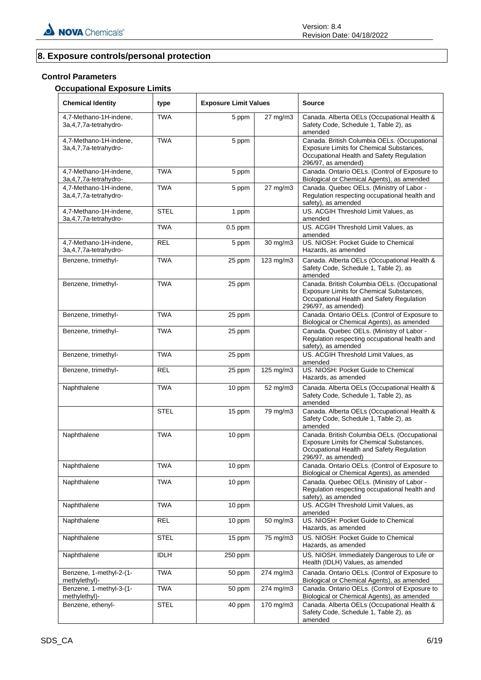# **8. Exposure controls/personal protection**

# **Control Parameters**

# **Occupational Exposure Limits**

| <b>Chemical Identity</b>                            | type        | <b>Exposure Limit Values</b> |           | <b>Source</b>                                                                                                                                                |
|-----------------------------------------------------|-------------|------------------------------|-----------|--------------------------------------------------------------------------------------------------------------------------------------------------------------|
| 4,7-Methano-1H-indene,<br>3a, 4, 7, 7a-tetrahydro-  | <b>TWA</b>  | 5 ppm                        | 27 mg/m3  | Canada. Alberta OELs (Occupational Health &<br>Safety Code, Schedule 1, Table 2), as<br>amended                                                              |
| 4,7-Methano-1H-indene,<br>3a, 4, 7, 7a-tetrahydro-  | <b>TWA</b>  | 5 ppm                        |           | Canada. British Columbia OELs. (Occupational<br>Exposure Limits for Chemical Substances,<br>Occupational Health and Safety Regulation<br>296/97, as amended) |
| 4,7-Methano-1H-indene,<br>3a, 4, 7, 7a-tetrahydro-  | <b>TWA</b>  | 5 ppm                        |           | Canada. Ontario OELs. (Control of Exposure to<br>Biological or Chemical Agents), as amended                                                                  |
| 4,7-Methano-1H-indene,<br>3a, 4, 7, 7a-tetrahydro-  | TWA         | 5 ppm                        | 27 mg/m3  | Canada. Quebec OELs. (Ministry of Labor -<br>Regulation respecting occupational health and<br>safety), as amended                                            |
| 4,7-Methano-1H-indene,<br>3a, 4, 7, 7a-tetrahy dro- | <b>STEL</b> | 1 ppm                        |           | US. ACGIH Threshold Limit Values, as<br>amended                                                                                                              |
|                                                     | <b>TWA</b>  | $0.5$ ppm                    |           | US. ACGIH Threshold Limit Values, as<br>amended                                                                                                              |
| 4,7-Methano-1H-indene,<br>3a, 4, 7, 7a-tetrahydro-  | <b>REL</b>  | 5 ppm                        | 30 mg/m3  | US. NIOSH: Pocket Guide to Chemical<br>Hazards, as amended                                                                                                   |
| Benzene, trimethyl-                                 | TWA         | 25 ppm                       | 123 mg/m3 | Canada. Alberta OELs (Occupational Health &<br>Safety Code, Schedule 1, Table 2), as<br>amended                                                              |
| Benzene, trimethyl-                                 | <b>TWA</b>  | 25 ppm                       |           | Canada. British Columbia OELs. (Occupational<br>Exposure Limits for Chemical Substances,<br>Occupational Health and Safety Regulation<br>296/97, as amended) |
| Benzene, trimethyl-                                 | <b>TWA</b>  | 25 ppm                       |           | Canada. Ontario OELs. (Control of Exposure to<br>Biological or Chemical Agents), as amended                                                                  |
| Benzene, trimethyl-                                 | <b>TWA</b>  | 25 ppm                       |           | Canada. Quebec OELs. (Ministry of Labor -<br>Regulation respecting occupational health and<br>safety), as amended                                            |
| Benzene, trimethyl-                                 | <b>TWA</b>  | 25 ppm                       |           | US. ACGIH Threshold Limit Values, as<br>amended                                                                                                              |
| Benzene, trimethyl-                                 | <b>REL</b>  | 25 ppm                       | 125 mg/m3 | US. NIOSH: Pocket Guide to Chemical<br>Hazards, as amended                                                                                                   |
| Naphthalene                                         | <b>TWA</b>  | 10 ppm                       | 52 mg/m3  | Canada. Alberta OELs (Occupational Health &<br>Safety Code, Schedule 1, Table 2), as<br>amended                                                              |
|                                                     | <b>STEL</b> | 15 ppm                       | 79 mg/m3  | Canada. Alberta OELs (Occupational Health &<br>Safety Code, Schedule 1, Table 2), as<br>amended                                                              |
| Naphthalene                                         | <b>TWA</b>  | 10 ppm                       |           | Canada. British Columbia OELs. (Occupational<br>Exposure Limits for Chemical Substances,<br>Occupational Health and Safety Regulation<br>296/97, as amended) |
| Naphthalene                                         | <b>TWA</b>  | 10 ppm                       |           | Canada. Ontario OELs. (Control of Exposure to<br>Biological or Chemical Agents), as amended                                                                  |
| Naphthalene                                         | <b>TWA</b>  | 10 ppm                       |           | Canada. Quebec OELs. (Ministry of Labor -<br>Regulation respecting occupational health and<br>safety), as amended                                            |
| Naphthalene                                         | <b>TWA</b>  | 10 ppm                       |           | US. ACGIH Threshold Limit Values, as<br>amended                                                                                                              |
| Naphthalene                                         | <b>REL</b>  | 10 ppm                       | 50 mg/m3  | US. NIOSH: Pocket Guide to Chemical<br>Hazards, as amended                                                                                                   |
| Naphthalene                                         | <b>STEL</b> | 15 ppm                       | 75 mg/m3  | US. NIOSH: Pocket Guide to Chemical<br>Hazards, as amended                                                                                                   |
| Naphthalene                                         | <b>IDLH</b> | 250 ppm                      |           | US. NIOSH. Immediately Dangerous to Life or<br>Health (IDLH) Values, as amended                                                                              |
| Benzene, 1-methyl-2-(1-<br>methylethyl)-            | <b>TWA</b>  | 50 ppm                       | 274 mg/m3 | Canada. Ontario OELs. (Control of Exposure to<br>Biological or Chemical Agents), as amended                                                                  |
| Benzene, 1-methyl-3-(1-<br>methylethyl)-            | <b>TWA</b>  | 50 ppm                       | 274 mg/m3 | Canada. Ontario OELs. (Control of Exposure to<br>Biological or Chemical Agents), as amended                                                                  |
| Benzene, ethenyl-                                   | <b>STEL</b> | 40 ppm                       | 170 mg/m3 | Canada. Alberta OELs (Occupational Health &<br>Safety Code, Schedule 1, Table 2), as<br>amended                                                              |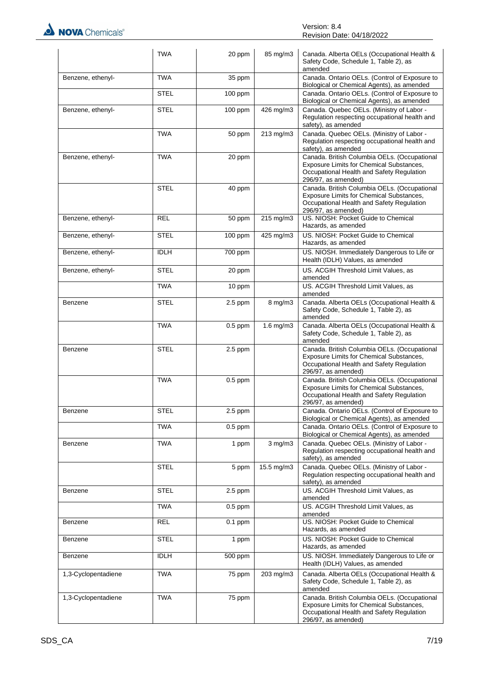

|                     | <b>TWA</b>  | 20 ppm    | 85 mg/m3       | Canada. Alberta OELs (Occupational Health &<br>Safety Code, Schedule 1, Table 2), as<br>amended                                                              |
|---------------------|-------------|-----------|----------------|--------------------------------------------------------------------------------------------------------------------------------------------------------------|
| Benzene, ethenyl-   | <b>TWA</b>  | 35 ppm    |                | Canada. Ontario OELs. (Control of Exposure to<br>Biological or Chemical Agents), as amended                                                                  |
|                     | STEL        | $100$ ppm |                | Canada. Ontario OELs. (Control of Exposure to<br>Biological or Chemical Agents), as amended                                                                  |
| Benzene, ethenyl-   | <b>STEL</b> | 100 ppm   | 426 mg/m3      | Canada. Quebec OELs. (Ministry of Labor -<br>Regulation respecting occupational health and<br>safety), as amended                                            |
|                     | <b>TWA</b>  | 50 ppm    | 213 mg/m3      | Canada. Quebec OELs. (Ministry of Labor -<br>Regulation respecting occupational health and<br>safety), as amended                                            |
| Benzene, ethenyl-   | <b>TWA</b>  | 20 ppm    |                | Canada. British Columbia OELs. (Occupational<br>Exposure Limits for Chemical Substances,<br>Occupational Health and Safety Regulation<br>296/97, as amended) |
|                     | <b>STEL</b> | 40 ppm    |                | Canada. British Columbia OELs. (Occupational<br>Exposure Limits for Chemical Substances,<br>Occupational Health and Safety Regulation<br>296/97, as amended) |
| Benzene, ethenyl-   | <b>REL</b>  | 50 ppm    | 215 mg/m3      | US. NIOSH: Pocket Guide to Chemical<br>Hazards, as amended                                                                                                   |
| Benzene, ethenyl-   | <b>STEL</b> | 100 ppm   | 425 mg/m3      | US. NIOSH: Pocket Guide to Chemical<br>Hazards, as amended                                                                                                   |
| Benzene, ethenyl-   | <b>IDLH</b> | 700 ppm   |                | US. NIOSH. Immediately Dangerous to Life or<br>Health (IDLH) Values, as amended                                                                              |
| Benzene, ethenyl-   | STEL        | 20 ppm    |                | US. ACGIH Threshold Limit Values, as<br>amended                                                                                                              |
|                     | <b>TWA</b>  | 10 ppm    |                | US. ACGIH Threshold Limit Values, as<br>amended                                                                                                              |
| Benzene             | <b>STEL</b> | 2.5 ppm   | $8$ mg/m $3$   | Canada. Alberta OELs (Occupational Health &<br>Safety Code, Schedule 1, Table 2), as<br>amended                                                              |
|                     | <b>TWA</b>  | $0.5$ ppm | $1.6$ mg/m $3$ | Canada. Alberta OELs (Occupational Health &<br>Safety Code, Schedule 1, Table 2), as<br>amended                                                              |
| Benzene             | <b>STEL</b> | $2.5$ ppm |                | Canada. British Columbia OELs. (Occupational<br>Exposure Limits for Chemical Substances,<br>Occupational Health and Safety Regulation<br>296/97, as amended) |
|                     | <b>TWA</b>  | $0.5$ ppm |                | Canada. British Columbia OELs. (Occupational<br>Exposure Limits for Chemical Substances,<br>Occupational Health and Safety Regulation<br>296/97, as amended) |
| Benzene             | <b>STEL</b> | $2.5$ ppm |                | Canada. Ontario OELs. (Control of Exposure to<br>Biological or Chemical Agents), as amended                                                                  |
|                     | <b>TWA</b>  | $0.5$ ppm |                | Canada. Ontario OELs. (Control of Exposure to<br>Biological or Chemical Agents), as amended                                                                  |
| Benzene             | <b>TWA</b>  | 1 ppm     | $3$ mg/m $3$   | Canada. Quebec OELs. (Ministry of Labor -<br>Regulation respecting occupational health and<br>safety), as amended                                            |
|                     | <b>STEL</b> | 5 ppm     | 15.5 mg/m3     | Canada. Quebec OELs. (Ministry of Labor -<br>Regulation respecting occupational health and<br>safety), as amended                                            |
| Benzene             | STEL        | $2.5$ ppm |                | US. ACGIH Threshold Limit Values, as<br>amended                                                                                                              |
|                     | <b>TWA</b>  | $0.5$ ppm |                | US. ACGIH Threshold Limit Values, as<br>amended                                                                                                              |
| Benzene             | <b>REL</b>  | $0.1$ ppm |                | US. NIOSH: Pocket Guide to Chemical<br>Hazards, as amended                                                                                                   |
| Benzene             | <b>STEL</b> | 1 ppm     |                | US. NIOSH: Pocket Guide to Chemical<br>Hazards, as amended                                                                                                   |
| Benzene             | <b>IDLH</b> | 500 ppm   |                | US. NIOSH. Immediately Dangerous to Life or<br>Health (IDLH) Values, as amended                                                                              |
| 1,3-Cyclopentadiene | <b>TWA</b>  | 75 ppm    | 203 mg/m3      | Canada. Alberta OELs (Occupational Health &<br>Safety Code, Schedule 1, Table 2), as<br>amended                                                              |
| 1,3-Cyclopentadiene | <b>TWA</b>  | 75 ppm    |                | Canada. British Columbia OELs. (Occupational<br>Exposure Limits for Chemical Substances,<br>Occupational Health and Safety Regulation<br>296/97, as amended) |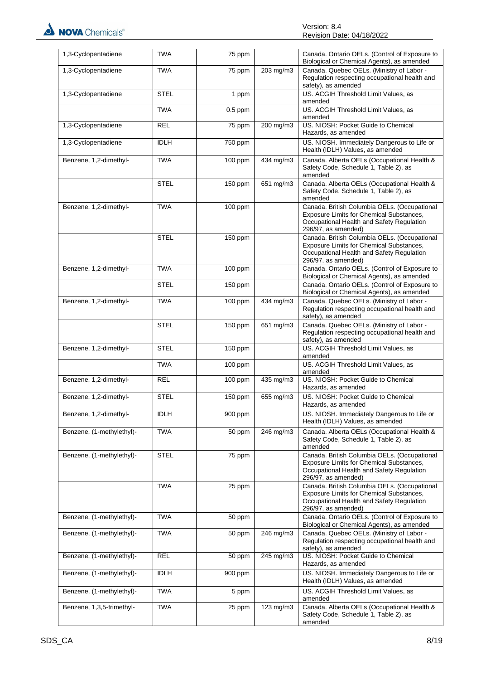| 1,3-Cyclopentadiene       | <b>TWA</b>  | 75 ppm    |                        | Canada. Ontario OELs. (Control of Exposure to<br>Biological or Chemical Agents), as amended                                                                         |
|---------------------------|-------------|-----------|------------------------|---------------------------------------------------------------------------------------------------------------------------------------------------------------------|
| 1,3-Cyclopentadiene       | <b>TWA</b>  | 75 ppm    | 203 mg/m3              | Canada. Quebec OELs. (Ministry of Labor -<br>Regulation respecting occupational health and<br>safety), as amended                                                   |
| 1,3-Cyclopentadiene       | <b>STEL</b> | 1 ppm     |                        | US. ACGIH Threshold Limit Values, as<br>amended                                                                                                                     |
|                           | <b>TWA</b>  | $0.5$ ppm |                        | US. ACGIH Threshold Limit Values, as<br>amended                                                                                                                     |
| 1,3-Cyclopentadiene       | <b>REL</b>  | 75 ppm    | 200 mg/m3              | US. NIOSH: Pocket Guide to Chemical<br>Hazards, as amended                                                                                                          |
| 1,3-Cyclopentadiene       | <b>IDLH</b> | 750 ppm   |                        | US. NIOSH. Immediately Dangerous to Life or<br>Health (IDLH) Values, as amended                                                                                     |
| Benzene, 1,2-dimethyl-    | <b>TWA</b>  | 100 ppm   | 434 mg/m3              | Canada. Alberta OELs (Occupational Health &<br>Safety Code, Schedule 1, Table 2), as<br>amended                                                                     |
|                           | <b>STEL</b> | 150 ppm   | 651 mg/m3              | Canada. Alberta OELs (Occupational Health &<br>Safety Code, Schedule 1, Table 2), as<br>amended                                                                     |
| Benzene, 1,2-dimethyl-    | <b>TWA</b>  | $100$ ppm |                        | Canada. British Columbia OELs. (Occupational<br><b>Exposure Limits for Chemical Substances,</b><br>Occupational Health and Safety Regulation<br>296/97, as amended) |
|                           | <b>STEL</b> | 150 ppm   |                        | Canada. British Columbia OELs. (Occupational<br>Exposure Limits for Chemical Substances,<br>Occupational Health and Safety Regulation<br>296/97, as amended)        |
| Benzene, 1,2-dimethyl-    | <b>TWA</b>  | 100 ppm   |                        | Canada. Ontario OELs. (Control of Exposure to<br>Biological or Chemical Agents), as amended                                                                         |
|                           | <b>STEL</b> | 150 ppm   |                        | Canada. Ontario OELs. (Control of Exposure to<br>Biological or Chemical Agents), as amended                                                                         |
| Benzene, 1,2-dimethyl-    | <b>TWA</b>  | 100 ppm   | 434 mg/m3              | Canada. Quebec OELs. (Ministry of Labor -<br>Regulation respecting occupational health and<br>safety), as amended                                                   |
|                           | <b>STEL</b> | 150 ppm   | 651 mg/m3              | Canada. Quebec OELs. (Ministry of Labor -<br>Regulation respecting occupational health and<br>safety), as amended                                                   |
| Benzene, 1,2-dimethyl-    | <b>STEL</b> | 150 ppm   |                        | US. ACGIH Threshold Limit Values, as<br>amended                                                                                                                     |
|                           | <b>TWA</b>  | 100 ppm   |                        | US. ACGIH Threshold Limit Values, as<br>amended                                                                                                                     |
| Benzene, 1,2-dimethyl-    | <b>REL</b>  | 100 ppm   | 435 mg/m3              | US. NIOSH: Pocket Guide to Chemical<br>Hazards, as amended                                                                                                          |
| Benzene, 1,2-dimethyl-    | <b>STEL</b> | 150 ppm   | 655 mg/m3              | US. NIOSH: Pocket Guide to Chemical<br>Hazards, as amended                                                                                                          |
| Benzene, 1,2-dimethyl-    | <b>IDLH</b> | 900 ppm   |                        | US. NIOSH. Immediately Dangerous to Life or<br>Health (IDLH) Values, as amended                                                                                     |
| Benzene, (1-methylethyl)- | <b>TWA</b>  | 50 ppm    | 246 mg/m3              | Canada. Alberta OELs (Occupational Health &<br>Safety Code, Schedule 1, Table 2), as<br>amended                                                                     |
| Benzene, (1-methylethyl)- | <b>STEL</b> | 75 ppm    |                        | Canada. British Columbia OELs. (Occupational<br>Exposure Limits for Chemical Substances,<br>Occupational Health and Safety Regulation<br>296/97, as amended)        |
|                           | <b>TWA</b>  | 25 ppm    |                        | Canada. British Columbia OELs. (Occupational<br>Exposure Limits for Chemical Substances,<br>Occupational Health and Safety Regulation<br>296/97, as amended)        |
| Benzene, (1-methylethyl)- | <b>TWA</b>  | 50 ppm    |                        | Canada. Ontario OELs. (Control of Exposure to<br>Biological or Chemical Agents), as amended                                                                         |
| Benzene, (1-methylethyl)- | <b>TWA</b>  | 50 ppm    | 246 mg/m3              | Canada. Quebec OELs. (Ministry of Labor -<br>Regulation respecting occupational health and<br>safety), as amended                                                   |
| Benzene, (1-methylethyl)- | <b>REL</b>  | 50 ppm    | $\overline{245}$ mg/m3 | US. NIOSH: Pocket Guide to Chemical<br>Hazards, as amended                                                                                                          |
| Benzene, (1-methylethyl)- | <b>IDLH</b> | 900 ppm   |                        | US. NIOSH. Immediately Dangerous to Life or<br>Health (IDLH) Values, as amended                                                                                     |
| Benzene, (1-methylethyl)- | <b>TWA</b>  | 5 ppm     |                        | US. ACGIH Threshold Limit Values, as<br>amended                                                                                                                     |
| Benzene, 1,3,5-trimethyl- | <b>TWA</b>  | 25 ppm    | 123 mg/m3              | Canada. Alberta OELs (Occupational Health &<br>Safety Code, Schedule 1, Table 2), as<br>amended                                                                     |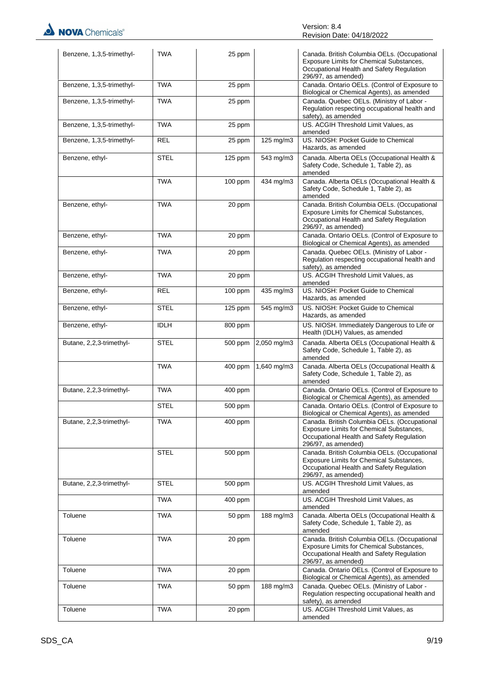| Benzene, 1,3,5-trimethyl- | <b>TWA</b>  | 25 ppm                |              | Canada. British Columbia OELs. (Occupational<br>Exposure Limits for Chemical Substances,<br>Occupational Health and Safety Regulation<br>296/97, as amended) |
|---------------------------|-------------|-----------------------|--------------|--------------------------------------------------------------------------------------------------------------------------------------------------------------|
| Benzene, 1,3,5-trimethyl- | <b>TWA</b>  | 25 ppm                |              | Canada. Ontario OELs. (Control of Exposure to<br>Biological or Chemical Agents), as amended                                                                  |
| Benzene, 1,3,5-trimethyl- | <b>TWA</b>  | 25 ppm                |              | Canada. Quebec OELs. (Ministry of Labor -<br>Regulation respecting occupational health and<br>safety), as amended                                            |
| Benzene, 1,3,5-trimethyl- | <b>TWA</b>  | 25 ppm                |              | US. ACGIH Threshold Limit Values, as<br>amended                                                                                                              |
| Benzene, 1,3,5-trimethyl- | <b>REL</b>  | 25 ppm                | 125 mg/m3    | US. NIOSH: Pocket Guide to Chemical<br>Hazards, as amended                                                                                                   |
| Benzene, ethyl-           | <b>STEL</b> | 125 ppm               | 543 mg/m3    | Canada. Alberta OELs (Occupational Health &<br>Safety Code, Schedule 1, Table 2), as<br>amended                                                              |
|                           | <b>TWA</b>  | 100 ppm               | 434 mg/m3    | Canada. Alberta OELs (Occupational Health &<br>Safety Code, Schedule 1, Table 2), as<br>amended                                                              |
| Benzene, ethyl-           | <b>TWA</b>  | 20 ppm                |              | Canada. British Columbia OELs. (Occupational<br>Exposure Limits for Chemical Substances,<br>Occupational Health and Safety Regulation<br>296/97, as amended) |
| Benzene, ethyl-           | <b>TWA</b>  | 20 ppm                |              | Canada. Ontario OELs. (Control of Exposure to<br>Biological or Chemical Agents), as amended                                                                  |
| Benzene, ethyl-           | <b>TWA</b>  | 20 ppm                |              | Canada. Quebec OELs. (Ministry of Labor -<br>Regulation respecting occupational health and<br>safety), as amended                                            |
| Benzene, ethyl-           | <b>TWA</b>  | 20 ppm                |              | US. ACGIH Threshold Limit Values, as<br>amended                                                                                                              |
| Benzene, ethyl-           | <b>REL</b>  | $100$ ppm             | 435 mg/m3    | US. NIOSH: Pocket Guide to Chemical<br>Hazards, as amended                                                                                                   |
| Benzene, ethyl-           | <b>STEL</b> | $\overline{1}$ 25 ppm | 545 mg/m3    | US. NIOSH: Pocket Guide to Chemical<br>Hazards, as amended                                                                                                   |
| Benzene, ethyl-           | <b>IDLH</b> | $800$ ppm             |              | US. NIOSH. Immediately Dangerous to Life or<br>Health (IDLH) Values, as amended                                                                              |
| Butane, 2,2,3-trimethyl-  | <b>STEL</b> | 500 ppm               | 2,050 mg/m3  | Canada. Alberta OELs (Occupational Health &<br>Safety Code, Schedule 1, Table 2), as<br>amended                                                              |
|                           | <b>TWA</b>  | 400 ppm               | 1,640 mg/m3  | Canada. Alberta OELs (Occupational Health &<br>Safety Code, Schedule 1, Table 2), as<br>amended                                                              |
| Butane, 2,2,3-trimethyl-  | <b>TWA</b>  | 400 ppm               |              | Canada. Ontario OELs. (Control of Exposure to<br>Biological or Chemical Agents), as amended                                                                  |
|                           | <b>STEL</b> | 500 ppm               |              | Canada. Ontario OELs. (Control of Exposure to<br>Biological or Chemical Agents), as amended                                                                  |
| Butane, 2,2,3-trimethyl-  | <b>TWA</b>  | 400 ppm               |              | Canada. British Columbia OELs. (Occupational<br>Exposure Limits for Chemical Substances,<br>Occupational Health and Safety Regulation<br>296/97, as amended) |
|                           | <b>STEL</b> | 500 ppm               |              | Canada. British Columbia OELs. (Occupational<br>Exposure Limits for Chemical Substances,<br>Occupational Health and Safety Regulation<br>296/97, as amended) |
| Butane, 2,2,3-trimethyl-  | <b>STEL</b> | 500 ppm               |              | US. ACGIH Threshold Limit Values, as<br>amended                                                                                                              |
|                           | TWA         | 400 ppm               |              | US. ACGIH Threshold Limit Values, as<br>amended                                                                                                              |
| Toluene                   | <b>TWA</b>  | 50 ppm                | 188 mg/m $3$ | Canada. Alberta OELs (Occupational Health &<br>Safety Code, Schedule 1, Table 2), as<br>amended                                                              |
| Toluene                   | <b>TWA</b>  | 20 ppm                |              | Canada. British Columbia OELs. (Occupational<br>Exposure Limits for Chemical Substances,<br>Occupational Health and Safety Regulation<br>296/97, as amended) |
| Toluene                   | <b>TWA</b>  | 20 ppm                |              | Canada. Ontario OELs. (Control of Exposure to<br>Biological or Chemical Agents), as amended                                                                  |
| Toluene                   | <b>TWA</b>  | 50 ppm                | 188 mg/m3    | Canada. Quebec OELs. (Ministry of Labor -<br>Regulation respecting occupational health and<br>safety), as amended                                            |
| Toluene                   | <b>TWA</b>  | 20 ppm                |              | US. ACGIH Threshold Limit Values, as<br>amended                                                                                                              |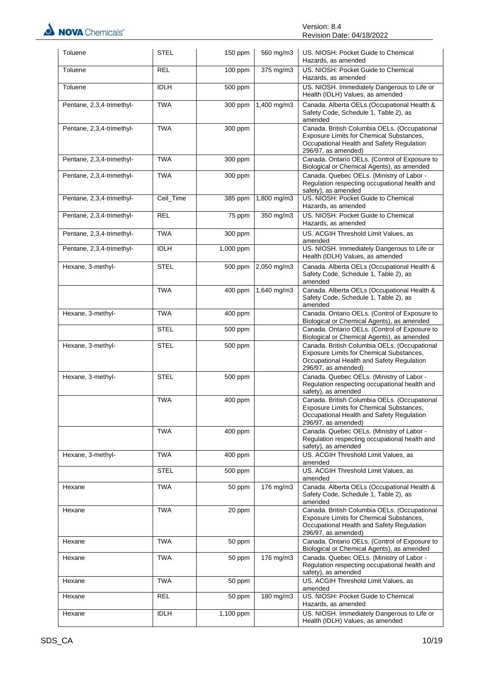| Toluene                   | <b>STEL</b> | 150 ppm              | 560 mg/m3             | US. NIOSH: Pocket Guide to Chemical                                                                                                                          |
|---------------------------|-------------|----------------------|-----------------------|--------------------------------------------------------------------------------------------------------------------------------------------------------------|
| Toluene                   | <b>REL</b>  | 100 ppm              | 375 mg/m3             | Hazards, as amended<br>US. NIOSH: Pocket Guide to Chemical                                                                                                   |
|                           |             |                      |                       | Hazards, as amended                                                                                                                                          |
| Toluene                   | <b>IDLH</b> | $\overline{500}$ ppm |                       | US. NIOSH. Immediately Dangerous to Life or<br>Health (IDLH) Values, as amended                                                                              |
| Pentane, 2,3,4-trimethyl- | <b>TWA</b>  | 300 ppm              | 1,400 mg/m3           | Canada. Alberta OELs (Occupational Health &<br>Safety Code, Schedule 1, Table 2), as<br>amended                                                              |
| Pentane, 2,3,4-trimethyl- | <b>TWA</b>  | 300 ppm              |                       | Canada. British Columbia OELs. (Occupational<br>Exposure Limits for Chemical Substances,<br>Occupational Health and Safety Regulation<br>296/97, as amended) |
| Pentane, 2,3,4-trimethyl- | <b>TWA</b>  | 300 ppm              |                       | Canada. Ontario OELs. (Control of Exposure to<br>Biological or Chemical Agents), as amended                                                                  |
| Pentane, 2,3,4-trimethyl- | <b>TWA</b>  | 300 ppm              |                       | Canada. Quebec OELs. (Ministry of Labor -<br>Regulation respecting occupational health and<br>safety), as amended                                            |
| Pentane, 2,3,4-trimethyl- | Ceil_Time   | 385 ppm              | $1,800$ mg/m3         | US. NIOSH: Pocket Guide to Chemical<br>Hazards, as amended                                                                                                   |
| Pentane, 2,3,4-trimethyl- | <b>REL</b>  | 75 ppm               | 350 mg/m3             | US. NIOSH: Pocket Guide to Chemical<br>Hazards, as amended                                                                                                   |
| Pentane, 2,3,4-trimethyl- | <b>TWA</b>  | 300 ppm              |                       | US. ACGIH Threshold Limit Values, as<br>amended                                                                                                              |
| Pentane, 2,3,4-trimethyl- | <b>IDLH</b> | 1,000 ppm            |                       | US. NIOSH. Immediately Dangerous to Life or<br>Health (IDLH) Values, as amended                                                                              |
| Hexane, 3-methyl-         | <b>STEL</b> | 500 ppm              | 2,050 mg/m3           | Canada. Alberta OELs (Occupational Health &<br>Safety Code, Schedule 1, Table 2), as<br>amended                                                              |
|                           | <b>TWA</b>  | 400 ppm              | 1,640 mg/m3           | Canada. Alberta OELs (Occupational Health &<br>Safety Code, Schedule 1, Table 2), as<br>amended                                                              |
| Hexane, 3-methyl-         | <b>TWA</b>  | 400 ppm              |                       | Canada. Ontario OELs. (Control of Exposure to<br>Biological or Chemical Agents), as amended                                                                  |
|                           | <b>STEL</b> | 500 ppm              |                       | Canada. Ontario OELs. (Control of Exposure to<br>Biological or Chemical Agents), as amended                                                                  |
| Hexane, 3-methyl-         | <b>STEL</b> | 500 ppm              |                       | Canada. British Columbia OELs. (Occupational<br>Exposure Limits for Chemical Substances,<br>Occupational Health and Safety Regulation<br>296/97, as amended) |
| Hexane, 3-methyl-         | <b>STEL</b> | 500 ppm              |                       | Canada. Quebec OELs. (Ministry of Labor -<br>Regulation respecting occupational health and<br>safety), as amended                                            |
|                           | <b>TWA</b>  | 400 ppm              |                       | Canada. British Columbia OELs. (Occupational<br>Exposure Limits for Chemical Substances,<br>Occupational Health and Safety Regulation<br>296/97, as amended) |
|                           | <b>TWA</b>  | 400 ppm              |                       | Canada. Quebec OELs. (Ministry of Labor -<br>Regulation respecting occupational health and<br>safety), as amended                                            |
| Hexane, 3-methyl-         | TWA         | 400 ppm              |                       | US. ACGIH Threshold Limit Values, as<br>amended                                                                                                              |
|                           | <b>STEL</b> | 500 ppm              |                       | US. ACGIH Threshold Limit Values, as<br>amended                                                                                                              |
| Hexane                    | <b>TWA</b>  | 50 ppm               | 176 mg/m3             | Canada. Alberta OELs (Occupational Health &<br>Safety Code, Schedule 1, Table 2), as<br>amended                                                              |
| Hexane                    | TWA         | 20 ppm               |                       | Canada. British Columbia OELs. (Occupational<br>Exposure Limits for Chemical Substances,<br>Occupational Health and Safety Regulation<br>296/97, as amended) |
| Hexane                    | <b>TWA</b>  | 50 ppm               |                       | Canada. Ontario OELs. (Control of Exposure to<br>Biological or Chemical Agents), as amended                                                                  |
| Hexane                    | <b>TWA</b>  | 50 ppm               | 176 mg/m3             | Canada. Quebec OELs. (Ministry of Labor -<br>Regulation respecting occupational health and<br>safety), as amended                                            |
| Hexane                    | <b>TWA</b>  | 50 ppm               |                       | US. ACGIH Threshold Limit Values, as<br>amended                                                                                                              |
| Hexane                    | <b>REL</b>  | 50 ppm               | $\frac{1}{180}$ mg/m3 | US. NIOSH: Pocket Guide to Chemical<br>Hazards, as amended                                                                                                   |
| Hexane                    | <b>IDLH</b> | 1,100 ppm            |                       | US. NIOSH. Immediately Dangerous to Life or<br>Health (IDLH) Values, as amended                                                                              |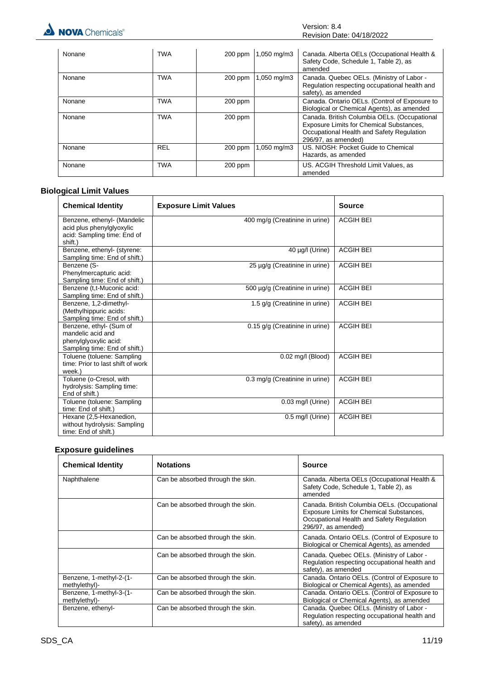

| Nonane | <b>TWA</b> | $200$ ppm | 1,050 mg/m3 | Canada. Alberta OELs (Occupational Health &<br>Safety Code, Schedule 1, Table 2), as<br>amended                                                              |
|--------|------------|-----------|-------------|--------------------------------------------------------------------------------------------------------------------------------------------------------------|
| Nonane | <b>TWA</b> | $200$ ppm | 1,050 mg/m3 | Canada. Quebec OELs. (Ministry of Labor -<br>Regulation respecting occupational health and<br>safety), as amended                                            |
| Nonane | <b>TWA</b> | $200$ ppm |             | Canada. Ontario OELs. (Control of Exposure to<br>Biological or Chemical Agents), as amended                                                                  |
| Nonane | <b>TWA</b> | 200 ppm   |             | Canada. British Columbia OELs. (Occupational<br>Exposure Limits for Chemical Substances,<br>Occupational Health and Safety Regulation<br>296/97, as amended) |
| Nonane | <b>REL</b> | $200$ ppm | 1,050 mg/m3 | US. NIOSH: Pocket Guide to Chemical<br>Hazards, as amended                                                                                                   |
| Nonane | <b>TWA</b> | 200 ppm   |             | US. ACGIH Threshold Limit Values, as<br>amended                                                                                                              |

# **Biological Limit Values**

| <b>Chemical Identity</b>                                                                               | <b>Exposure Limit Values</b>   | Source           |
|--------------------------------------------------------------------------------------------------------|--------------------------------|------------------|
| Benzene, ethenyl- (Mandelic<br>acid plus phenylglyoxylic<br>acid: Sampling time: End of                | 400 mg/g (Creatinine in urine) | <b>ACGIH BEI</b> |
| shift.)                                                                                                |                                |                  |
| Benzene, ethenyl- (styrene:<br>Sampling time: End of shift.)                                           | 40 µg/l (Urine)                | <b>ACGIH BEI</b> |
| Benzene (S-<br>Phenylmercapturic acid:<br>Sampling time: End of shift.)                                | 25 µg/g (Creatinine in urine)  | <b>ACGIH BEI</b> |
| Benzene (t,t-Muconic acid:<br>Sampling time: End of shift.)                                            | 500 µq/q (Creatinine in urine) | <b>ACGIH BEI</b> |
| Benzene, 1,2-dimethyl-<br>(Methylhippuric acids:<br>Sampling time: End of shift.)                      | 1.5 g/g (Creatinine in urine)  | <b>ACGIH BEI</b> |
| Benzene, ethyl- (Sum of<br>mandelic acid and<br>phenylglyoxylic acid:<br>Sampling time: End of shift.) | 0.15 g/g (Creatinine in urine) | <b>ACGIH BEI</b> |
| Toluene (toluene: Sampling<br>time: Prior to last shift of work<br>week.)                              | $0.02$ mg/l (Blood)            | <b>ACGIH BEI</b> |
| Toluene (o-Cresol, with<br>hydrolysis: Sampling time:<br>End of shift.)                                | 0.3 mg/g (Creatinine in urine) | <b>ACGIH BEI</b> |
| Toluene (toluene: Sampling<br>time: End of shift.)                                                     | $0.03$ mg/l (Urine)            | <b>ACGIH BEI</b> |
| Hexane (2,5-Hexanedion,<br>without hydrolysis: Sampling<br>time: End of shift.)                        | $0.5$ mg/l (Urine)             | <b>ACGIH BEI</b> |

# **Exposure guidelines**

| <b>Chemical Identity</b>                 | <b>Notations</b>                  | <b>Source</b>                                                                                                                                                |
|------------------------------------------|-----------------------------------|--------------------------------------------------------------------------------------------------------------------------------------------------------------|
| Naphthalene                              | Can be absorbed through the skin. | Canada. Alberta OELs (Occupational Health &<br>Safety Code, Schedule 1, Table 2), as<br>amended                                                              |
|                                          | Can be absorbed through the skin. | Canada. British Columbia OELs. (Occupational<br>Exposure Limits for Chemical Substances,<br>Occupational Health and Safety Regulation<br>296/97, as amended) |
|                                          | Can be absorbed through the skin. | Canada. Ontario OELs. (Control of Exposure to<br>Biological or Chemical Agents), as amended                                                                  |
|                                          | Can be absorbed through the skin. | Canada. Quebec OELs. (Ministry of Labor -<br>Regulation respecting occupational health and<br>safety), as amended                                            |
| Benzene, 1-methyl-2-(1-<br>methylethyl)- | Can be absorbed through the skin. | Canada. Ontario OELs. (Control of Exposure to<br>Biological or Chemical Agents), as amended                                                                  |
| Benzene, 1-methyl-3-(1-<br>methylethyl)- | Can be absorbed through the skin. | Canada. Ontario OELs. (Control of Exposure to<br>Biological or Chemical Agents), as amended                                                                  |
| Benzene, ethenyl-                        | Can be absorbed through the skin. | Canada. Quebec OELs. (Ministry of Labor -<br>Regulation respecting occupational health and<br>safety), as amended                                            |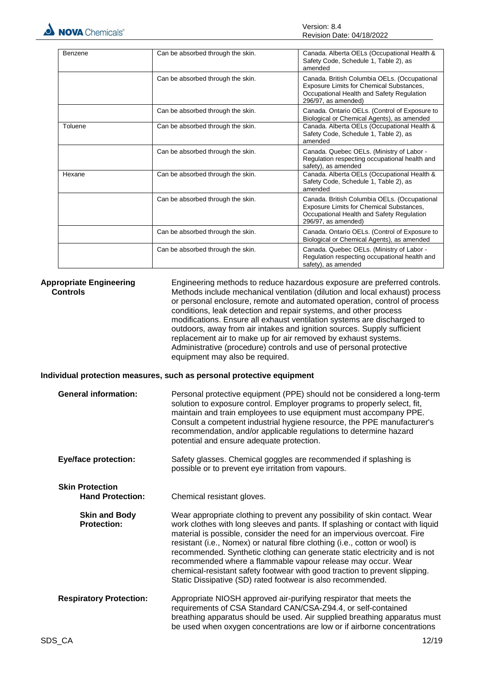

| Benzene | Can be absorbed through the skin. | Canada. Alberta OELs (Occupational Health &<br>Safety Code, Schedule 1, Table 2), as<br>amended                                                              |
|---------|-----------------------------------|--------------------------------------------------------------------------------------------------------------------------------------------------------------|
|         | Can be absorbed through the skin. | Canada. British Columbia OELs. (Occupational<br>Exposure Limits for Chemical Substances,<br>Occupational Health and Safety Regulation<br>296/97, as amended) |
|         | Can be absorbed through the skin. | Canada. Ontario OELs. (Control of Exposure to<br>Biological or Chemical Agents), as amended                                                                  |
| Toluene | Can be absorbed through the skin. | Canada. Alberta OELs (Occupational Health &<br>Safety Code, Schedule 1, Table 2), as<br>amended                                                              |
|         | Can be absorbed through the skin. | Canada. Quebec OELs. (Ministry of Labor -<br>Regulation respecting occupational health and<br>safety), as amended                                            |
| Hexane  | Can be absorbed through the skin. | Canada. Alberta OELs (Occupational Health &<br>Safety Code, Schedule 1, Table 2), as<br>amended                                                              |
|         | Can be absorbed through the skin. | Canada. British Columbia OELs. (Occupational<br>Exposure Limits for Chemical Substances,<br>Occupational Health and Safety Regulation<br>296/97, as amended) |
|         | Can be absorbed through the skin. | Canada. Ontario OELs. (Control of Exposure to<br>Biological or Chemical Agents), as amended                                                                  |
|         | Can be absorbed through the skin. | Canada. Quebec OELs. (Ministry of Labor -<br>Regulation respecting occupational health and<br>safety), as amended                                            |

**Appropriate Engineering Controls** Engineering methods to reduce hazardous exposure are preferred controls. Methods include mechanical ventilation (dilution and local exhaust) process or personal enclosure, remote and automated operation, control of process conditions, leak detection and repair systems, and other process modifications. Ensure all exhaust ventilation systems are discharged to outdoors, away from air intakes and ignition sources. Supply sufficient replacement air to make up for air removed by exhaust systems. Administrative (procedure) controls and use of personal protective equipment may also be required.

#### **Individual protection measures, such as personal protective equipment**

| <b>General information:</b>                       | Personal protective equipment (PPE) should not be considered a long-term<br>solution to exposure control. Employer programs to properly select, fit,<br>maintain and train employees to use equipment must accompany PPE.<br>Consult a competent industrial hygiene resource, the PPE manufacturer's<br>recommendation, and/or applicable regulations to determine hazard<br>potential and ensure adequate protection.                                                                                                                                                                                            |
|---------------------------------------------------|-------------------------------------------------------------------------------------------------------------------------------------------------------------------------------------------------------------------------------------------------------------------------------------------------------------------------------------------------------------------------------------------------------------------------------------------------------------------------------------------------------------------------------------------------------------------------------------------------------------------|
| <b>Eye/face protection:</b>                       | Safety glasses. Chemical goggles are recommended if splashing is<br>possible or to prevent eye irritation from vapours.                                                                                                                                                                                                                                                                                                                                                                                                                                                                                           |
| <b>Skin Protection</b><br><b>Hand Protection:</b> | Chemical resistant gloves.                                                                                                                                                                                                                                                                                                                                                                                                                                                                                                                                                                                        |
| <b>Skin and Body</b><br><b>Protection:</b>        | Wear appropriate clothing to prevent any possibility of skin contact. Wear<br>work clothes with long sleeves and pants. If splashing or contact with liquid<br>material is possible, consider the need for an impervious overcoat. Fire<br>resistant (i.e., Nomex) or natural fibre clothing (i.e., cotton or wool) is<br>recommended. Synthetic clothing can generate static electricity and is not<br>recommended where a flammable vapour release may occur. Wear<br>chemical-resistant safety footwear with good traction to prevent slipping.<br>Static Dissipative (SD) rated footwear is also recommended. |
| <b>Respiratory Protection:</b>                    | Appropriate NIOSH approved air-purifying respirator that meets the<br>requirements of CSA Standard CAN/CSA-Z94.4, or self-contained<br>breathing apparatus should be used. Air supplied breathing apparatus must<br>be used when oxygen concentrations are low or if airborne concentrations                                                                                                                                                                                                                                                                                                                      |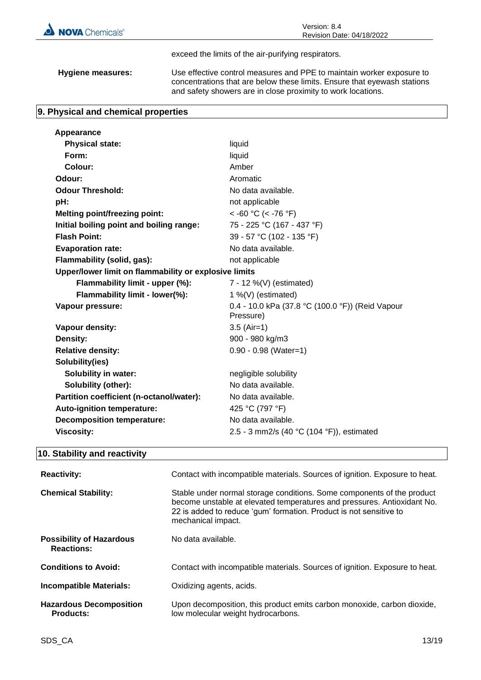

exceed the limits of the air-purifying respirators.

**Hygiene measures:** Use effective control measures and PPE to maintain worker exposure to concentrations that are below these limits. Ensure that eyewash stations and safety showers are in close proximity to work locations.

### **9. Physical and chemical properties**

| Appearance                                            |                                                               |  |
|-------------------------------------------------------|---------------------------------------------------------------|--|
| <b>Physical state:</b>                                | liquid                                                        |  |
| Form:                                                 | liquid                                                        |  |
| Colour:                                               | Amber                                                         |  |
| Odour:                                                | Aromatic                                                      |  |
| <b>Odour Threshold:</b>                               | No data available.                                            |  |
| pH:                                                   | not applicable                                                |  |
| <b>Melting point/freezing point:</b>                  | $<$ -60 °C (< -76 °F)                                         |  |
| Initial boiling point and boiling range:              | 75 - 225 °C (167 - 437 °F)                                    |  |
| <b>Flash Point:</b>                                   | 39 - 57 °C (102 - 135 °F)                                     |  |
| <b>Evaporation rate:</b>                              | No data available.                                            |  |
| Flammability (solid, gas):                            | not applicable                                                |  |
| Upper/lower limit on flammability or explosive limits |                                                               |  |
| Flammability limit - upper (%):                       | 7 - 12 %(V) (estimated)                                       |  |
| Flammability limit - lower(%):                        | 1 %(V) (estimated)                                            |  |
| Vapour pressure:                                      | 0.4 - 10.0 kPa (37.8 °C (100.0 °F)) (Reid Vapour<br>Pressure) |  |
| Vapour density:                                       | $3.5$ (Air=1)                                                 |  |
| Density:                                              | 900 - 980 kg/m3                                               |  |
| <b>Relative density:</b>                              | $0.90 - 0.98$ (Water=1)                                       |  |
| Solubility(ies)                                       |                                                               |  |
| <b>Solubility in water:</b>                           | negligible solubility                                         |  |
| Solubility (other):                                   | No data available.                                            |  |
| Partition coefficient (n-octanol/water):              | No data available.                                            |  |
| <b>Auto-ignition temperature:</b>                     | 425 °C (797 °F)                                               |  |
| <b>Decomposition temperature:</b>                     | No data available.                                            |  |
| <b>Viscosity:</b>                                     | 2.5 - 3 mm2/s (40 °C (104 °F)), estimated                     |  |
|                                                       |                                                               |  |

# **10. Stability and reactivity**

| <b>Reactivity:</b>                                   | Contact with incompatible materials. Sources of ignition. Exposure to heat.                                                                                                                                                                   |
|------------------------------------------------------|-----------------------------------------------------------------------------------------------------------------------------------------------------------------------------------------------------------------------------------------------|
| <b>Chemical Stability:</b>                           | Stable under normal storage conditions. Some components of the product<br>become unstable at elevated temperatures and pressures. Antioxidant No.<br>22 is added to reduce 'gum' formation. Product is not sensitive to<br>mechanical impact. |
| <b>Possibility of Hazardous</b><br><b>Reactions:</b> | No data available.                                                                                                                                                                                                                            |
| <b>Conditions to Avoid:</b>                          | Contact with incompatible materials. Sources of ignition. Exposure to heat.                                                                                                                                                                   |
| <b>Incompatible Materials:</b>                       | Oxidizing agents, acids.                                                                                                                                                                                                                      |
| <b>Hazardous Decomposition</b><br><b>Products:</b>   | Upon decomposition, this product emits carbon monoxide, carbon dioxide,<br>low molecular weight hydrocarbons.                                                                                                                                 |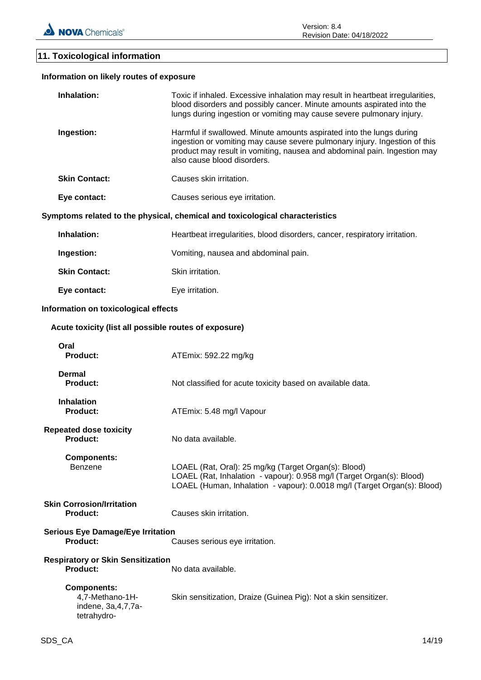# **11. Toxicological information**

| Information on likely routes of exposure                                      |                                                                                                                                                                                                                                                               |
|-------------------------------------------------------------------------------|---------------------------------------------------------------------------------------------------------------------------------------------------------------------------------------------------------------------------------------------------------------|
| Inhalation:                                                                   | Toxic if inhaled. Excessive inhalation may result in heartbeat irregularities,<br>blood disorders and possibly cancer. Minute amounts aspirated into the<br>lungs during ingestion or vomiting may cause severe pulmonary injury.                             |
| Ingestion:                                                                    | Harmful if swallowed. Minute amounts aspirated into the lungs during<br>ingestion or vomiting may cause severe pulmonary injury. Ingestion of this<br>product may result in vomiting, nausea and abdominal pain. Ingestion may<br>also cause blood disorders. |
| <b>Skin Contact:</b>                                                          | Causes skin irritation.                                                                                                                                                                                                                                       |
| Eye contact:                                                                  | Causes serious eye irritation.                                                                                                                                                                                                                                |
|                                                                               | Symptoms related to the physical, chemical and toxicological characteristics                                                                                                                                                                                  |
| Inhalation:                                                                   | Heartbeat irregularities, blood disorders, cancer, respiratory irritation.                                                                                                                                                                                    |
| Ingestion:                                                                    | Vomiting, nausea and abdominal pain.                                                                                                                                                                                                                          |
| <b>Skin Contact:</b>                                                          | Skin irritation.                                                                                                                                                                                                                                              |
| Eye contact:                                                                  | Eye irritation.                                                                                                                                                                                                                                               |
| Information on toxicological effects                                          |                                                                                                                                                                                                                                                               |
| Acute toxicity (list all possible routes of exposure)                         |                                                                                                                                                                                                                                                               |
| Oral<br><b>Product:</b>                                                       | ATEmix: 592.22 mg/kg                                                                                                                                                                                                                                          |
| <b>Dermal</b><br><b>Product:</b>                                              | Not classified for acute toxicity based on available data.                                                                                                                                                                                                    |
| <b>Inhalation</b><br><b>Product:</b>                                          | ATEmix: 5.48 mg/l Vapour                                                                                                                                                                                                                                      |
| <b>Repeated dose toxicity</b><br><b>Product:</b>                              | No data available.                                                                                                                                                                                                                                            |
| <b>Components:</b><br>Benzene                                                 | LOAEL (Rat, Oral): 25 mg/kg (Target Organ(s): Blood)<br>LOAEL (Rat, Inhalation - vapour): 0.958 mg/l (Target Organ(s): Blood)<br>LOAEL (Human, Inhalation - vapour): 0.0018 mg/l (Target Organ(s): Blood)                                                     |
| <b>Skin Corrosion/Irritation</b><br>Product:                                  | Causes skin irritation.                                                                                                                                                                                                                                       |
| <b>Serious Eye Damage/Eye Irritation</b><br><b>Product:</b>                   | Causes serious eye irritation.                                                                                                                                                                                                                                |
| <b>Respiratory or Skin Sensitization</b><br><b>Product:</b>                   | No data available.                                                                                                                                                                                                                                            |
| <b>Components:</b><br>4,7-Methano-1H-<br>indene, 3a, 4, 7, 7a-<br>tetrahydro- | Skin sensitization, Draize (Guinea Pig): Not a skin sensitizer.                                                                                                                                                                                               |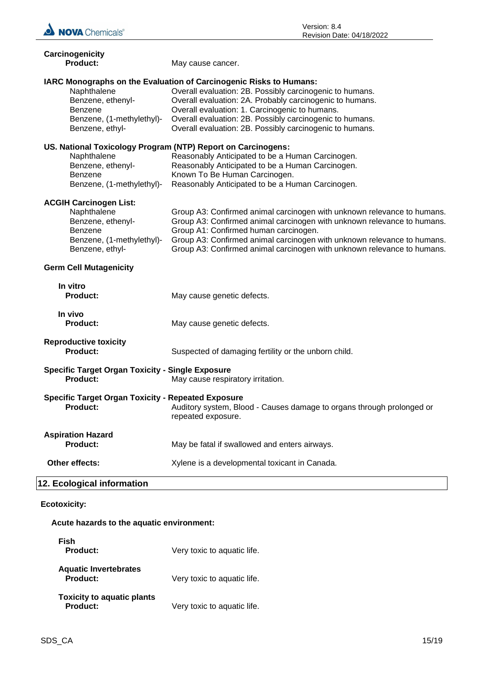

| Carcinogenicity<br>Product:                                                                                                              | May cause cancer.                                                                                                                                                                                                                                                                                                                                                    |
|------------------------------------------------------------------------------------------------------------------------------------------|----------------------------------------------------------------------------------------------------------------------------------------------------------------------------------------------------------------------------------------------------------------------------------------------------------------------------------------------------------------------|
| Naphthalene<br>Benzene, ethenyl-<br>Benzene<br>Benzene, (1-methylethyl)-<br>Benzene, ethyl-                                              | IARC Monographs on the Evaluation of Carcinogenic Risks to Humans:<br>Overall evaluation: 2B. Possibly carcinogenic to humans.<br>Overall evaluation: 2A. Probably carcinogenic to humans.<br>Overall evaluation: 1. Carcinogenic to humans.<br>Overall evaluation: 2B. Possibly carcinogenic to humans.<br>Overall evaluation: 2B. Possibly carcinogenic to humans. |
| US. National Toxicology Program (NTP) Report on Carcinogens:<br>Naphthalene<br>Benzene, ethenyl-<br>Benzene<br>Benzene, (1-methylethyl)- | Reasonably Anticipated to be a Human Carcinogen.<br>Reasonably Anticipated to be a Human Carcinogen.<br>Known To Be Human Carcinogen.<br>Reasonably Anticipated to be a Human Carcinogen.                                                                                                                                                                            |
| <b>ACGIH Carcinogen List:</b><br>Naphthalene<br>Benzene, ethenyl-<br>Benzene<br>Benzene, (1-methylethyl)-<br>Benzene, ethyl-             | Group A3: Confirmed animal carcinogen with unknown relevance to humans.<br>Group A3: Confirmed animal carcinogen with unknown relevance to humans.<br>Group A1: Confirmed human carcinogen.<br>Group A3: Confirmed animal carcinogen with unknown relevance to humans.<br>Group A3: Confirmed animal carcinogen with unknown relevance to humans.                    |
| <b>Germ Cell Mutagenicity</b>                                                                                                            |                                                                                                                                                                                                                                                                                                                                                                      |
| In vitro<br><b>Product:</b>                                                                                                              | May cause genetic defects.                                                                                                                                                                                                                                                                                                                                           |
| In vivo<br><b>Product:</b>                                                                                                               | May cause genetic defects.                                                                                                                                                                                                                                                                                                                                           |
| <b>Reproductive toxicity</b><br><b>Product:</b>                                                                                          | Suspected of damaging fertility or the unborn child.                                                                                                                                                                                                                                                                                                                 |

- 
- **Specific Target Organ Toxicity - Single Exposure** May cause respiratory irritation.
- **Specific Target Organ Toxicity - Repeated Exposure**

| <b>Product:</b>                      | Auditory system, Blood - Causes damage to organs through prolonged or<br>repeated exposure. |
|--------------------------------------|---------------------------------------------------------------------------------------------|
| Aspiration Hazard<br><b>Product:</b> | May be fatal if swallowed and enters airways.                                               |
| <b>Other effects:</b>                | Xylene is a developmental toxicant in Canada.                                               |

# **12. Ecological information**

# **Ecotoxicity:**

# **Acute hazards to the aquatic environment:**

| Fish<br>Product:                              | Very toxic to aquatic life. |
|-----------------------------------------------|-----------------------------|
| <b>Aquatic Invertebrates</b><br>Product:      | Very toxic to aquatic life. |
| <b>Toxicity to aquatic plants</b><br>Product: | Very toxic to aquatic life. |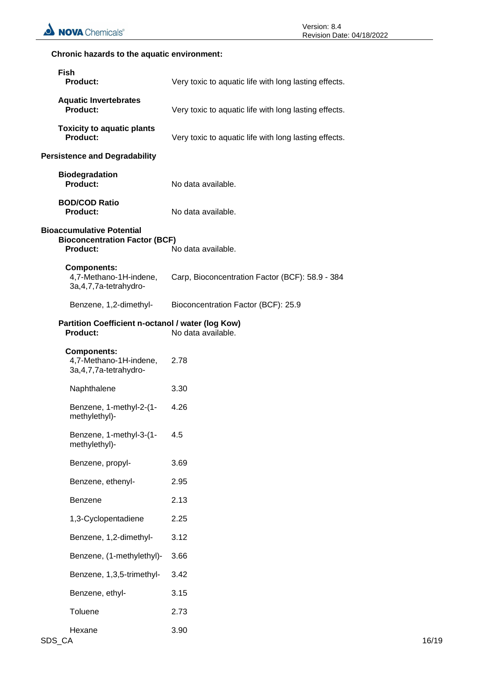# **Chronic hazards to the aquatic environment:**

| <b>Fish</b><br><b>Product:</b>                                                              | Very toxic to aquatic life with long lasting effects. |
|---------------------------------------------------------------------------------------------|-------------------------------------------------------|
| <b>Aquatic Invertebrates</b><br>Product:                                                    | Very toxic to aquatic life with long lasting effects. |
| <b>Toxicity to aquatic plants</b><br><b>Product:</b>                                        | Very toxic to aquatic life with long lasting effects. |
| <b>Persistence and Degradability</b>                                                        |                                                       |
| <b>Biodegradation</b><br><b>Product:</b>                                                    | No data available.                                    |
| <b>BOD/COD Ratio</b><br>Product:                                                            | No data available.                                    |
| <b>Bioaccumulative Potential</b><br><b>Bioconcentration Factor (BCF)</b><br><b>Product:</b> | No data available.                                    |
| <b>Components:</b><br>4,7-Methano-1H-indene,<br>3a, 4, 7, 7a-tetrahydro-                    | Carp, Bioconcentration Factor (BCF): 58.9 - 384       |
| Benzene, 1,2-dimethyl-                                                                      | Bioconcentration Factor (BCF): 25.9                   |
| Partition Coefficient n-octanol / water (log Kow)<br>Product:                               | No data available.                                    |
| <b>Components:</b><br>4,7-Methano-1H-indene,<br>3a, 4, 7, 7a-tetrahydro-                    | 2.78                                                  |
| Naphthalene                                                                                 | 3.30                                                  |
| Benzene, 1-methyl-2-(1-<br>methylethyl)-                                                    | 4.26                                                  |
| Benzene, 1-methyl-3-(1-<br>methylethyl)-                                                    | 4.5                                                   |
| Benzene, propyl-                                                                            | 3.69                                                  |
| Benzene, ethenyl-                                                                           | 2.95                                                  |
| Benzene                                                                                     | 2.13                                                  |
| 1,3-Cyclopentadiene                                                                         | 2.25                                                  |
| Benzene, 1,2-dimethyl-                                                                      | 3.12                                                  |
| Benzene, (1-methylethyl)-                                                                   | 3.66                                                  |
| Benzene, 1,3,5-trimethyl-                                                                   | 3.42                                                  |
| Benzene, ethyl-                                                                             | 3.15                                                  |
| Toluene                                                                                     | 2.73                                                  |
| Hexane                                                                                      | 3.90                                                  |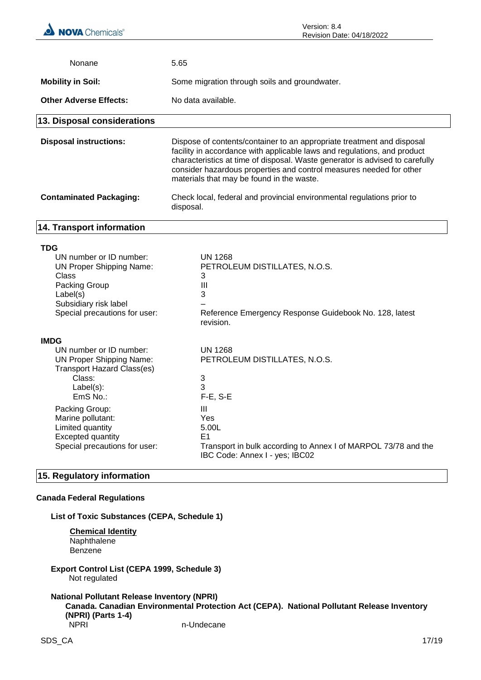| Nonane                                                                                                                                                                          | 5.65                                                                                                                                                                                                                                                                                                                                                   |
|---------------------------------------------------------------------------------------------------------------------------------------------------------------------------------|--------------------------------------------------------------------------------------------------------------------------------------------------------------------------------------------------------------------------------------------------------------------------------------------------------------------------------------------------------|
| <b>Mobility in Soil:</b>                                                                                                                                                        | Some migration through soils and groundwater.                                                                                                                                                                                                                                                                                                          |
| <b>Other Adverse Effects:</b>                                                                                                                                                   | No data available.                                                                                                                                                                                                                                                                                                                                     |
| 13. Disposal considerations                                                                                                                                                     |                                                                                                                                                                                                                                                                                                                                                        |
| <b>Disposal instructions:</b>                                                                                                                                                   | Dispose of contents/container to an appropriate treatment and disposal<br>facility in accordance with applicable laws and regulations, and product<br>characteristics at time of disposal. Waste generator is advised to carefully<br>consider hazardous properties and control measures needed for other<br>materials that may be found in the waste. |
| <b>Contaminated Packaging:</b>                                                                                                                                                  | Check local, federal and provincial environmental regulations prior to<br>disposal.                                                                                                                                                                                                                                                                    |
| 14. Transport information                                                                                                                                                       |                                                                                                                                                                                                                                                                                                                                                        |
| <b>TDG</b><br>UN number or ID number:<br><b>UN Proper Shipping Name:</b><br><b>Class</b><br>Packing Group<br>Label(s)<br>Subsidiary risk label<br>Special precautions for user: | <b>UN 1268</b><br>PETROLEUM DISTILLATES, N.O.S.<br>3<br>$\mathbf{III}$<br>3<br>Reference Emergency Response Guidebook No. 128, latest<br>revision.                                                                                                                                                                                                     |
| <b>IMDG</b><br>UN number or ID number:<br><b>UN Proper Shipping Name:</b><br><b>Transport Hazard Class(es)</b><br>Class:<br>Label(s):<br>EmS No.:                               | <b>UN 1268</b><br>PETROLEUM DISTILLATES, N.O.S.<br>3<br>3<br>$F-E. S-E$                                                                                                                                                                                                                                                                                |

| <u>LIIIV I VU</u>             | .                                                                                                |
|-------------------------------|--------------------------------------------------------------------------------------------------|
| Packing Group:                | Ш                                                                                                |
| Marine pollutant:             | Yes                                                                                              |
| Limited quantity              | 5.00L                                                                                            |
| Excepted quantity             | E1                                                                                               |
| Special precautions for user: | Transport in bulk according to Annex I of MARPOL 73/78 and the<br>IBC Code: Annex I - yes; IBC02 |
|                               |                                                                                                  |

# **15. Regulatory information**

# **Canada Federal Regulations**

**List of Toxic Substances (CEPA, Schedule 1)**

**Chemical Identity Naphthalene** Benzene

**Export Control List (CEPA 1999, Schedule 3)** Not regulated

#### **National Pollutant Release Inventory (NPRI) Canada. Canadian Environmental Protection Act (CEPA). National Pollutant Release Inventory (NPRI) (Parts 1-4)** n-Undecane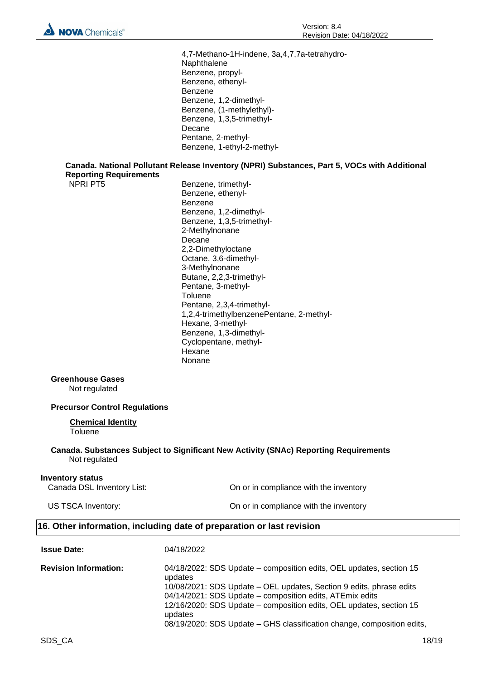4,7-Methano-1H-indene, 3a,4,7,7a-tetrahydro-Naphthalene Benzene, propyl-Benzene, ethenyl-Benzene Benzene, 1,2-dimethyl-Benzene, (1-methylethyl)- Benzene, 1,3,5-trimethyl-Decane Pentane, 2-methyl-Benzene, 1-ethyl-2-methyl-

#### **Canada. National Pollutant Release Inventory (NPRI) Substances, Part 5, VOCs with Additional Reporting Requirements**

NPRI PT5 Benzene, trimethyl-Benzene, ethenyl-Benzene Benzene, 1,2-dimethyl-Benzene, 1,3,5-trimethyl-2-Methylnonane Decane 2,2-Dimethyloctane Octane, 3,6-dimethyl-3-Methylnonane Butane, 2,2,3-trimethyl-Pentane, 3-methyl-**Toluene** Pentane, 2,3,4-trimethyl-1,2,4-trimethylbenzenePentane, 2-methyl-Hexane, 3-methyl-Benzene, 1,3-dimethyl-Cyclopentane, methyl-**Hexane** Nonane

#### **Greenhouse Gases**

Not regulated

#### **Precursor Control Regulations**

#### **Chemical Identity** Toluene

**Canada. Substances Subject to Significant New Activity (SNAc) Reporting Requirements** Not regulated

#### **Inventory status**

**Issue Date:** 04/18/2022

Canada DSL Inventory List: On or in compliance with the inventory

US TSCA Inventory: On or in compliance with the inventory

# **16. Other information, including date of preparation or last revision**

| ISSUE DALE.                  | <u>04/10/2022</u>                                                                                                               |
|------------------------------|---------------------------------------------------------------------------------------------------------------------------------|
| <b>Revision Information:</b> | 04/18/2022: SDS Update – composition edits, OEL updates, section 15<br>updates                                                  |
|                              | 10/08/2021: SDS Update – OEL updates, Section 9 edits, phrase edits<br>04/14/2021: SDS Update – composition edits, ATEmix edits |
|                              | 12/16/2020: SDS Update – composition edits, OEL updates, section 15<br>updates                                                  |
|                              | 08/19/2020: SDS Update – GHS classification change, composition edits,                                                          |
|                              |                                                                                                                                 |